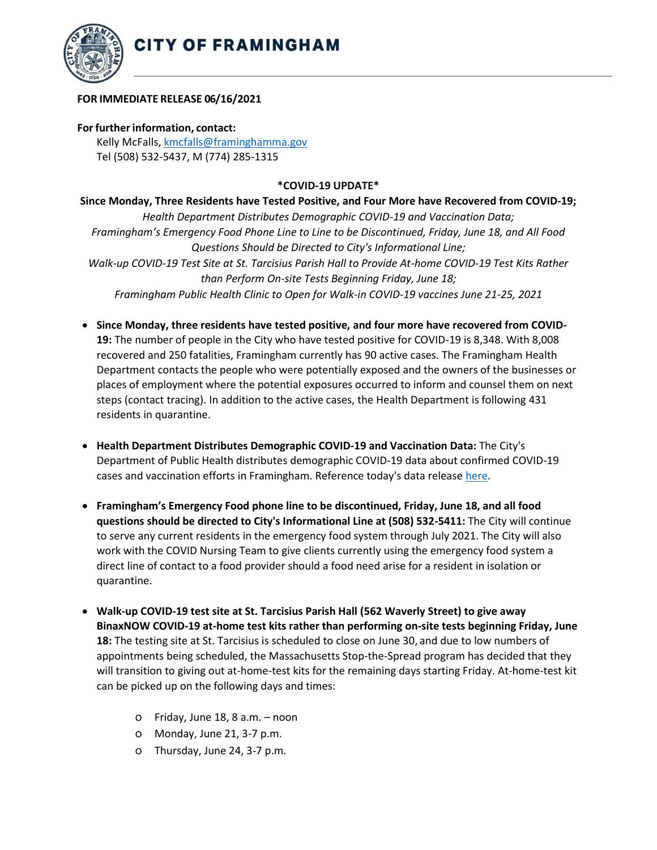



## **FOR IMMEDIATE RELEASE 06/16/2021**

## **For further information, contact:**

Kelly McFalls[, kmcfalls@framinghamma.gov](mailto:kmcfalls@framinghamma.gov) Tel (508) 532-5437, M (774) 285-1315

## **\*COVID-19 UPDATE\***

**Since Monday, Three Residents have Tested Positive, and Four More have Recovered from COVID-19;**  *Health Department Distributes Demographic COVID-19 and Vaccination Data; Framingham's Emergency Food Phone Line to Line to be Discontinued, Friday, June 18, and All Food Questions Should be Directed to City's Informational Line; Walk-up COVID-19 Test Site at St. Tarcisius Parish Hall to Provide At-home COVID-19 Test Kits Rather than Perform On-site Tests Beginning Friday, June 18; Framingham Public Health Clinic to Open for Walk-in COVID-19 vaccines June 21-25, 2021*

- **Since Monday, three residents have tested positive, and four more have recovered from COVID-19:** The number of people in the City who have tested positive for COVID-19 is 8,348. With 8,008 recovered and 250 fatalities, Framingham currently has 90 active cases. The Framingham Health Department contacts the people who were potentially exposed and the owners of the businesses or places of employment where the potential exposures occurred to inform and counsel them on next steps (contact tracing). In addition to the active cases, the Health Department is following 431 residents in quarantine.
- **Health Department Distributes Demographic COVID-19 and Vaccination Data:** The City's Department of Public Health distributes demographic COVID-19 data about confirmed COVID-19 cases and vaccination efforts in Framingham. Reference today's data release [here](https://www.framinghamma.gov/DocumentCenter/View/42424/COVID-19-Data-061621-FINAL).
- **Framingham's Emergency Food phone line to be discontinued, Friday, June 18, and all food questions should be directed to City's Informational Line at (508) 532-5411:** The City will continue to serve any current residents in the emergency food system through July 2021. The City will also work with the COVID Nursing Team to give clients currently using the emergency food system a direct line of contact to a food provider should a food need arise for a resident in isolation or quarantine.
- **Walk-up COVID-19 test site at St. Tarcisius Parish Hall (562 Waverly Street) to give away BinaxNOW COVID-19 at-home test kits rather than performing on-site tests beginning Friday, June 18:** The testing site at St. Tarcisius is scheduled to close on June 30, and due to low numbers of appointments being scheduled, the Massachusetts Stop-the-Spread program has decided that they will transition to giving out at-home-test kits for the remaining days starting Friday. At-home-test kit can be picked up on the following days and times:
	- o Friday, June 18, 8 a.m. noon
	- o Monday, June 21, 3-7 p.m.
	- o Thursday, June 24, 3-7 p.m.